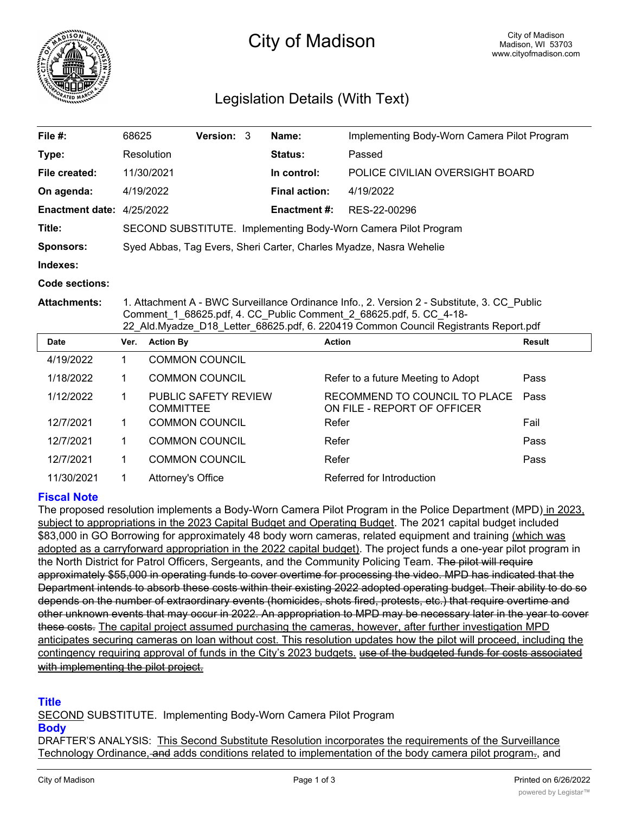

# City of Madison

# Legislation Details (With Text)

| File $#$ :                | 68625                                                                                                                                                                                                                                                    |                                          | Version: 3 |  | Name:                | Implementing Body-Worn Camera Pilot Program                  |               |
|---------------------------|----------------------------------------------------------------------------------------------------------------------------------------------------------------------------------------------------------------------------------------------------------|------------------------------------------|------------|--|----------------------|--------------------------------------------------------------|---------------|
| Type:                     |                                                                                                                                                                                                                                                          | Resolution                               |            |  | Status:              | Passed                                                       |               |
| File created:             |                                                                                                                                                                                                                                                          | 11/30/2021                               |            |  | In control:          | POLICE CIVILIAN OVERSIGHT BOARD                              |               |
| On agenda:                | 4/19/2022                                                                                                                                                                                                                                                |                                          |            |  | <b>Final action:</b> | 4/19/2022                                                    |               |
| Enactment date: 4/25/2022 |                                                                                                                                                                                                                                                          |                                          |            |  | <b>Enactment#:</b>   | RES-22-00296                                                 |               |
| Title:                    | SECOND SUBSTITUTE. Implementing Body-Worn Camera Pilot Program                                                                                                                                                                                           |                                          |            |  |                      |                                                              |               |
| <b>Sponsors:</b>          | Syed Abbas, Tag Evers, Sheri Carter, Charles Myadze, Nasra Wehelie                                                                                                                                                                                       |                                          |            |  |                      |                                                              |               |
| Indexes:                  |                                                                                                                                                                                                                                                          |                                          |            |  |                      |                                                              |               |
| Code sections:            |                                                                                                                                                                                                                                                          |                                          |            |  |                      |                                                              |               |
| <b>Attachments:</b>       | 1. Attachment A - BWC Surveillance Ordinance Info., 2. Version 2 - Substitute, 3. CC_Public<br>Comment 1 68625.pdf, 4. CC Public Comment 2 68625.pdf, 5. CC 4-18-<br>22 Ald.Myadze D18 Letter 68625.pdf, 6. 220419 Common Council Registrants Report.pdf |                                          |            |  |                      |                                                              |               |
|                           |                                                                                                                                                                                                                                                          |                                          |            |  |                      |                                                              |               |
| <b>Date</b>               | Ver.                                                                                                                                                                                                                                                     | <b>Action By</b>                         |            |  | <b>Action</b>        |                                                              | <b>Result</b> |
| 4/19/2022                 | $\mathbf 1$                                                                                                                                                                                                                                              | <b>COMMON COUNCIL</b>                    |            |  |                      |                                                              |               |
| 1/18/2022                 | 1                                                                                                                                                                                                                                                        | <b>COMMON COUNCIL</b>                    |            |  |                      | Refer to a future Meeting to Adopt                           | Pass          |
| 1/12/2022                 | 1                                                                                                                                                                                                                                                        | PUBLIC SAFETY REVIEW<br><b>COMMITTEE</b> |            |  |                      | RECOMMEND TO COUNCIL TO PLACE<br>ON FILE - REPORT OF OFFICER | Pass          |
| 12/7/2021                 | 1                                                                                                                                                                                                                                                        | <b>COMMON COUNCIL</b>                    |            |  | Refer                |                                                              | Fail          |
| 12/7/2021                 | 1                                                                                                                                                                                                                                                        | <b>COMMON COUNCIL</b>                    |            |  | Refer                |                                                              | Pass          |
| 12/7/2021                 | 1.                                                                                                                                                                                                                                                       | <b>COMMON COUNCIL</b>                    |            |  | Refer                |                                                              | Pass          |

# **Fiscal Note**

The proposed resolution implements a Body-Worn Camera Pilot Program in the Police Department (MPD) in 2023, subject to appropriations in the 2023 Capital Budget and Operating Budget. The 2021 capital budget included \$83,000 in GO Borrowing for approximately 48 body worn cameras, related equipment and training (which was adopted as a carryforward appropriation in the 2022 capital budget). The project funds a one-year pilot program in the North District for Patrol Officers, Sergeants, and the Community Policing Team. The pilot will require approximately \$55,000 in operating funds to cover overtime for processing the video. MPD has indicated that the Department intends to absorb these costs within their existing 2022 adopted operating budget. Their ability to do so depends on the number of extraordinary events (homicides, shots fired, protests, etc.) that require overtime and other unknown events that may occur in 2022. An appropriation to MPD may be necessary later in the year to cover these costs. The capital project assumed purchasing the cameras, however, after further investigation MPD anticipates securing cameras on loan without cost. This resolution updates how the pilot will proceed, including the contingency requiring approval of funds in the City's 2023 budgets. use of the budgeted funds for costs associated with implementing the pilot project.

# **Title**

SECOND SUBSTITUTE. Implementing Body-Worn Camera Pilot Program

# **Body**

DRAFTER'S ANALYSIS: This Second Substitute Resolution incorporates the requirements of the Surveillance Technology Ordinance, and adds conditions related to implementation of the body camera pilot program., and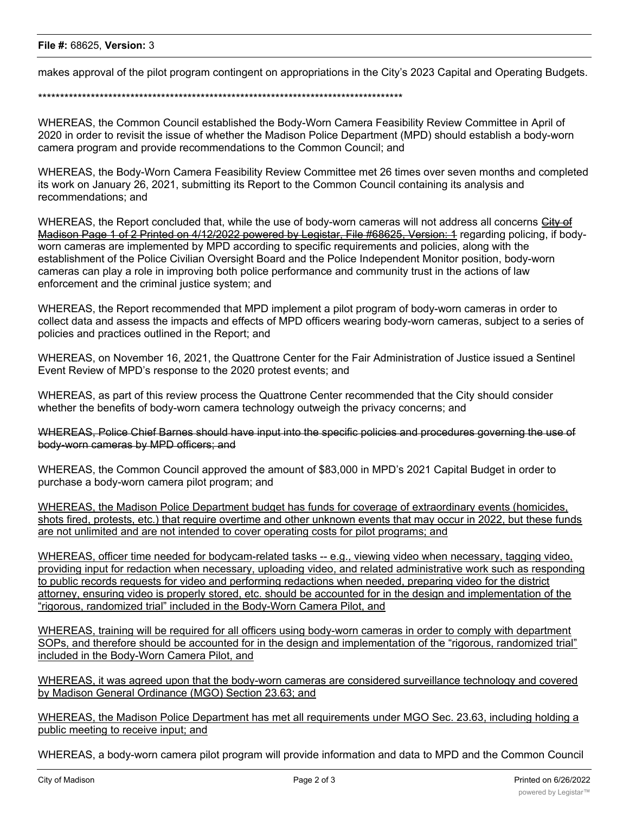#### **File #:** 68625, **Version:** 3

makes approval of the pilot program contingent on appropriations in the City's 2023 Capital and Operating Budgets.

#### \*\*\*\*\*\*\*\*\*\*\*\*\*\*\*\*\*\*\*\*\*\*\*\*\*\*\*\*\*\*\*\*\*\*\*\*\*\*\*\*\*\*\*\*\*\*\*\*\*\*\*\*\*\*\*\*\*\*\*\*\*\*\*\*\*\*\*\*\*\*\*\*\*\*\*\*\*\*\*\*\*\*\*

WHEREAS, the Common Council established the Body-Worn Camera Feasibility Review Committee in April of 2020 in order to revisit the issue of whether the Madison Police Department (MPD) should establish a body-worn camera program and provide recommendations to the Common Council; and

WHEREAS, the Body-Worn Camera Feasibility Review Committee met 26 times over seven months and completed its work on January 26, 2021, submitting its Report to the Common Council containing its analysis and recommendations; and

WHEREAS, the Report concluded that, while the use of body-worn cameras will not address all concerns Gity of Madison Page 1 of 2 Printed on 4/12/2022 powered by Legistar, File #68625, Version: 1 regarding policing, if bodyworn cameras are implemented by MPD according to specific requirements and policies, along with the establishment of the Police Civilian Oversight Board and the Police Independent Monitor position, body-worn cameras can play a role in improving both police performance and community trust in the actions of law enforcement and the criminal justice system; and

WHEREAS, the Report recommended that MPD implement a pilot program of body-worn cameras in order to collect data and assess the impacts and effects of MPD officers wearing body-worn cameras, subject to a series of policies and practices outlined in the Report; and

WHEREAS, on November 16, 2021, the Quattrone Center for the Fair Administration of Justice issued a Sentinel Event Review of MPD's response to the 2020 protest events; and

WHEREAS, as part of this review process the Quattrone Center recommended that the City should consider whether the benefits of body-worn camera technology outweigh the privacy concerns; and

#### WHEREAS, Police Chief Barnes should have input into the specific policies and procedures governing the use of body-worn cameras by MPD officers; and

WHEREAS, the Common Council approved the amount of \$83,000 in MPD's 2021 Capital Budget in order to purchase a body-worn camera pilot program; and

WHEREAS, the Madison Police Department budget has funds for coverage of extraordinary events (homicides, shots fired, protests, etc.) that require overtime and other unknown events that may occur in 2022, but these funds are not unlimited and are not intended to cover operating costs for pilot programs; and

WHEREAS, officer time needed for bodycam-related tasks -- e.g., viewing video when necessary, tagging video, providing input for redaction when necessary, uploading video, and related administrative work such as responding to public records requests for video and performing redactions when needed, preparing video for the district attorney, ensuring video is properly stored, etc. should be accounted for in the design and implementation of the "rigorous, randomized trial" included in the Body-Worn Camera Pilot, and

WHEREAS, training will be required for all officers using body-worn cameras in order to comply with department SOPs, and therefore should be accounted for in the design and implementation of the "rigorous, randomized trial" included in the Body-Worn Camera Pilot, and

WHEREAS, it was agreed upon that the body-worn cameras are considered surveillance technology and covered by Madison General Ordinance (MGO) Section 23.63; and

WHEREAS, the Madison Police Department has met all requirements under MGO Sec. 23.63, including holding a public meeting to receive input; and

WHEREAS, a body-worn camera pilot program will provide information and data to MPD and the Common Council